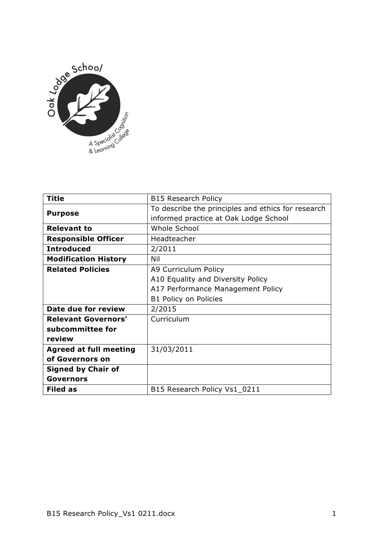

| <b>Title</b>                  | <b>B15 Research Policy</b>                         |
|-------------------------------|----------------------------------------------------|
| <b>Purpose</b>                | To describe the principles and ethics for research |
|                               | informed practice at Oak Lodge School              |
| <b>Relevant to</b>            | Whole School                                       |
| <b>Responsible Officer</b>    | Headteacher                                        |
| <b>Introduced</b>             | 2/2011                                             |
| <b>Modification History</b>   | Nil                                                |
| <b>Related Policies</b>       | A9 Curriculum Policy                               |
|                               | A10 Equality and Diversity Policy                  |
|                               | A17 Performance Management Policy                  |
|                               | B1 Policy on Policies                              |
| Date due for review           | 2/2015                                             |
| <b>Relevant Governors'</b>    | Curriculum                                         |
| subcommittee for              |                                                    |
| review                        |                                                    |
| <b>Agreed at full meeting</b> | 31/03/2011                                         |
| of Governors on               |                                                    |
| <b>Signed by Chair of</b>     |                                                    |
| <b>Governors</b>              |                                                    |
| <b>Filed as</b>               | B15 Research Policy Vs1_0211                       |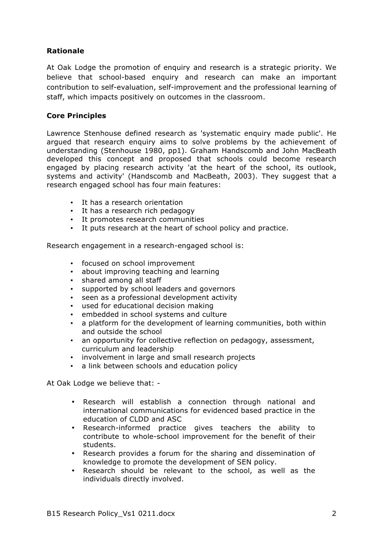## **Rationale**

At Oak Lodge the promotion of enquiry and research is a strategic priority. We believe that school-based enquiry and research can make an important contribution to self-evaluation, self-improvement and the professional learning of staff, which impacts positively on outcomes in the classroom.

## **Core Principles**

Lawrence Stenhouse defined research as 'systematic enquiry made public'. He argued that research enquiry aims to solve problems by the achievement of understanding (Stenhouse 1980, pp1). Graham Handscomb and John MacBeath developed this concept and proposed that schools could become research engaged by placing research activity 'at the heart of the school, its outlook, systems and activity' (Handscomb and MacBeath, 2003). They suggest that a research engaged school has four main features:

- It has a research orientation
- It has a research rich pedagogy
- It promotes research communities
- It puts research at the heart of school policy and practice.

Research engagement in a research-engaged school is:

- focused on school improvement
- about improving teaching and learning
- shared among all staff
- supported by school leaders and governors
- seen as a professional development activity
- used for educational decision making
- embedded in school systems and culture
- a platform for the development of learning communities, both within and outside the school
- an opportunity for collective reflection on pedagogy, assessment, curriculum and leadership
- involvement in large and small research projects
- a link between schools and education policy

At Oak Lodge we believe that: -

- Research will establish a connection through national and international communications for evidenced based practice in the education of CLDD and ASC
- Research-informed practice gives teachers the ability to contribute to whole-school improvement for the benefit of their students.
- Research provides a forum for the sharing and dissemination of knowledge to promote the development of SEN policy.
- Research should be relevant to the school, as well as the individuals directly involved.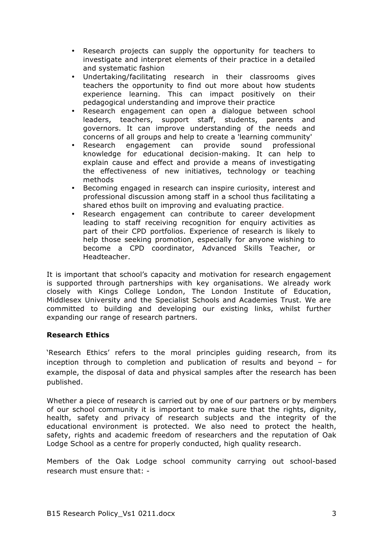- Research projects can supply the opportunity for teachers to investigate and interpret elements of their practice in a detailed and systematic fashion
- Undertaking/facilitating research in their classrooms gives teachers the opportunity to find out more about how students experience learning. This can impact positively on their pedagogical understanding and improve their practice
- Research engagement can open a dialogue between school leaders, teachers, support staff, students, parents and governors. It can improve understanding of the needs and concerns of all groups and help to create a 'learning community'
- Research engagement can provide sound professional knowledge for educational decision-making. It can help to explain cause and effect and provide a means of investigating the effectiveness of new initiatives, technology or teaching methods
- Becoming engaged in research can inspire curiosity, interest and professional discussion among staff in a school thus facilitating a shared ethos built on improving and evaluating practice.
- Research engagement can contribute to career development leading to staff receiving recognition for enquiry activities as part of their CPD portfolios. Experience of research is likely to help those seeking promotion, especially for anyone wishing to become a CPD coordinator, Advanced Skills Teacher, or Headteacher.

It is important that school's capacity and motivation for research engagement is supported through partnerships with key organisations. We already work closely with Kings College London, The London Institute of Education, Middlesex University and the Specialist Schools and Academies Trust. We are committed to building and developing our existing links, whilst further expanding our range of research partners.

## **Research Ethics**

'Research Ethics' refers to the moral principles guiding research, from its inception through to completion and publication of results and beyond – for example, the disposal of data and physical samples after the research has been published.

Whether a piece of research is carried out by one of our partners or by members of our school community it is important to make sure that the rights, dignity, health, safety and privacy of research subjects and the integrity of the educational environment is protected. We also need to protect the health, safety, rights and academic freedom of researchers and the reputation of Oak Lodge School as a centre for properly conducted, high quality research.

Members of the Oak Lodge school community carrying out school-based research must ensure that: -